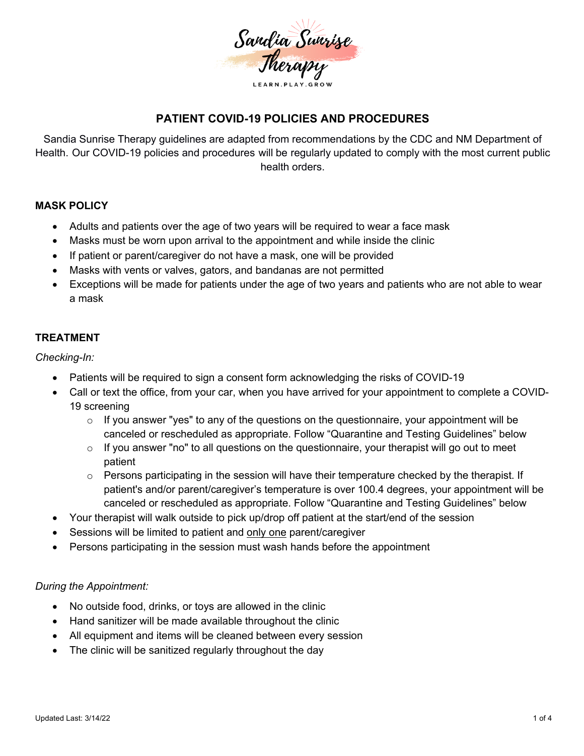

### **PATIENT COVID-19 POLICIES AND PROCEDURES**

Sandia Sunrise Therapy guidelines are adapted from recommendations by the CDC and NM Department of Health. Our COVID-19 policies and procedures will be regularly updated to comply with the most current public health orders.

#### **MASK POLICY**

- Adults and patients over the age of two years will be required to wear a face mask
- Masks must be worn upon arrival to the appointment and while inside the clinic
- If patient or parent/caregiver do not have a mask, one will be provided
- Masks with vents or valves, gators, and bandanas are not permitted
- Exceptions will be made for patients under the age of two years and patients who are not able to wear a mask

#### **TREATMENT**

*Checking-In:*

- Patients will be required to sign a consent form acknowledging the risks of COVID-19
- Call or text the office, from your car, when you have arrived for your appointment to complete a COVID-19 screening
	- $\circ$  If you answer "yes" to any of the questions on the questionnaire, your appointment will be canceled or rescheduled as appropriate. Follow "Quarantine and Testing Guidelines" below
	- $\circ$  If you answer "no" to all questions on the questionnaire, your therapist will go out to meet patient
	- $\circ$  Persons participating in the session will have their temperature checked by the therapist. If patient's and/or parent/caregiver's temperature is over 100.4 degrees, your appointment will be canceled or rescheduled as appropriate. Follow "Quarantine and Testing Guidelines" below
- Your therapist will walk outside to pick up/drop off patient at the start/end of the session
- Sessions will be limited to patient and only one parent/caregiver
- Persons participating in the session must wash hands before the appointment

#### *During the Appointment:*

- No outside food, drinks, or toys are allowed in the clinic
- Hand sanitizer will be made available throughout the clinic
- All equipment and items will be cleaned between every session
- The clinic will be sanitized regularly throughout the day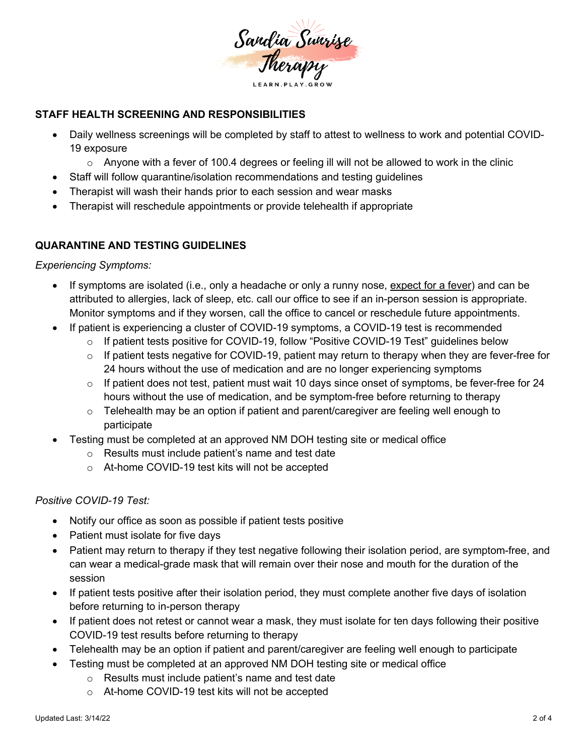

## **STAFF HEALTH SCREENING AND RESPONSIBILITIES**

- Daily wellness screenings will be completed by staff to attest to wellness to work and potential COVID-19 exposure
	- $\circ$  Anyone with a fever of 100.4 degrees or feeling ill will not be allowed to work in the clinic
- Staff will follow quarantine/isolation recommendations and testing guidelines
- Therapist will wash their hands prior to each session and wear masks
- Therapist will reschedule appointments or provide telehealth if appropriate

# **QUARANTINE AND TESTING GUIDELINES**

*Experiencing Symptoms:*

- If symptoms are isolated (i.e., only a headache or only a runny nose, expect for a fever) and can be attributed to allergies, lack of sleep, etc. call our office to see if an in-person session is appropriate. Monitor symptoms and if they worsen, call the office to cancel or reschedule future appointments.
- If patient is experiencing a cluster of COVID-19 symptoms, a COVID-19 test is recommended
	- o If patient tests positive for COVID-19, follow "Positive COVID-19 Test" guidelines below
	- $\circ$  If patient tests negative for COVID-19, patient may return to therapy when they are fever-free for 24 hours without the use of medication and are no longer experiencing symptoms
	- o If patient does not test, patient must wait 10 days since onset of symptoms, be fever-free for 24 hours without the use of medication, and be symptom-free before returning to therapy
	- $\circ$  Telehealth may be an option if patient and parent/caregiver are feeling well enough to participate
- Testing must be completed at an approved NM DOH testing site or medical office
	- o Results must include patient's name and test date
	- o At-home COVID-19 test kits will not be accepted

## *Positive COVID-19 Test:*

- Notify our office as soon as possible if patient tests positive
- Patient must isolate for five days
- Patient may return to therapy if they test negative following their isolation period, are symptom-free, and can wear a medical-grade mask that will remain over their nose and mouth for the duration of the session
- If patient tests positive after their isolation period, they must complete another five days of isolation before returning to in-person therapy
- If patient does not retest or cannot wear a mask, they must isolate for ten days following their positive COVID-19 test results before returning to therapy
- Telehealth may be an option if patient and parent/caregiver are feeling well enough to participate
- Testing must be completed at an approved NM DOH testing site or medical office
	- o Results must include patient's name and test date
	- o At-home COVID-19 test kits will not be accepted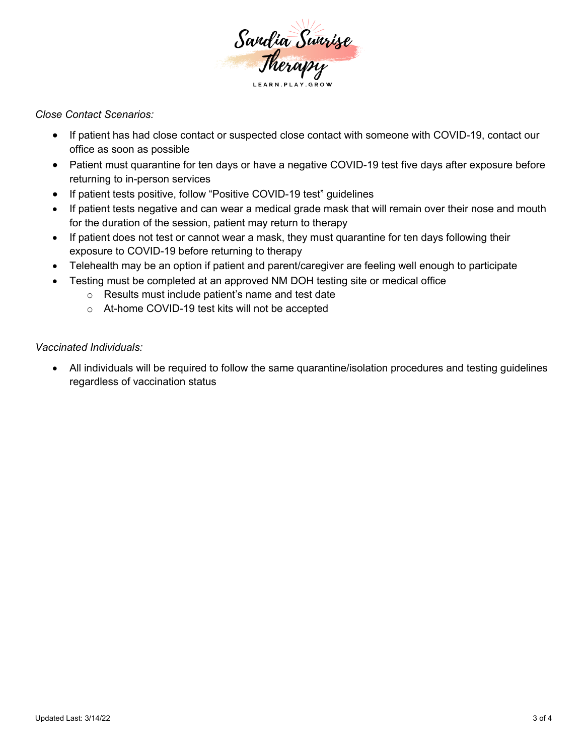

*Close Contact Scenarios:*

- If patient has had close contact or suspected close contact with someone with COVID-19, contact our office as soon as possible
- Patient must quarantine for ten days or have a negative COVID-19 test five days after exposure before returning to in-person services
- If patient tests positive, follow "Positive COVID-19 test" guidelines
- If patient tests negative and can wear a medical grade mask that will remain over their nose and mouth for the duration of the session, patient may return to therapy
- If patient does not test or cannot wear a mask, they must quarantine for ten days following their exposure to COVID-19 before returning to therapy
- Telehealth may be an option if patient and parent/caregiver are feeling well enough to participate
	- Testing must be completed at an approved NM DOH testing site or medical office
		- o Results must include patient's name and test date
		- o At-home COVID-19 test kits will not be accepted

*Vaccinated Individuals:* 

• All individuals will be required to follow the same quarantine/isolation procedures and testing guidelines regardless of vaccination status